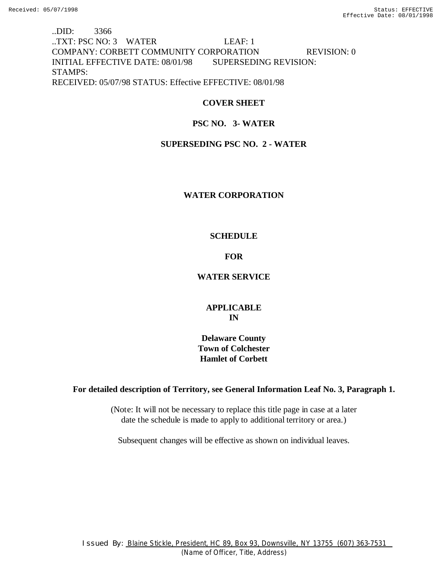# ..DID: 3366 ..TXT: PSC NO: 3 WATER LEAF: 1 COMPANY: CORBETT COMMUNITY CORPORATION REVISION: 0 INITIAL EFFECTIVE DATE: 08/01/98 SUPERSEDING REVISION: STAMPS: RECEIVED: 05/07/98 STATUS: Effective EFFECTIVE: 08/01/98

# **COVER SHEET**

# **PSC NO. 3- WATER**

### **SUPERSEDING PSC NO. 2 - WATER**

### **WATER CORPORATION**

### **SCHEDULE**

### **FOR**

### **WATER SERVICE**

# **APPLICABLE IN**

**Delaware County Town of Colchester Hamlet of Corbett**

### **For detailed description of Territory, see General Information Leaf No. 3, Paragraph 1.**

(Note: It will not be necessary to replace this title page in case at a later date the schedule is made to apply to additional territory or area.)

Subsequent changes will be effective as shown on individual leaves.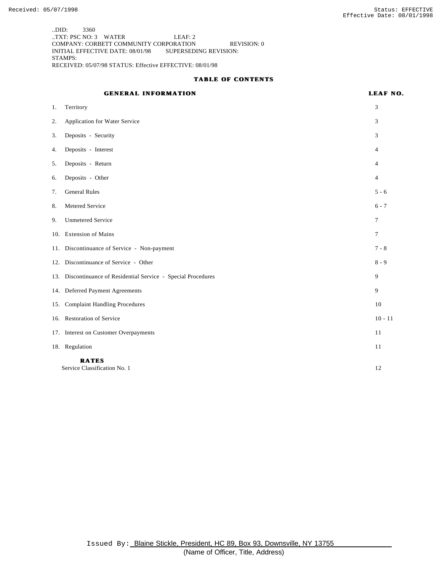..DID: 3360 ..TXT: PSC NO: 3 WATER LEAF: 2 COMPANY: CORBETT COMMUNITY CORPORATION REVISION: 0 INITIAL EFFECTIVE DATE: 08/01/98 SUPERSEDING REVISION: STAMPS: RECEIVED: 05/07/98 STATUS: Effective EFFECTIVE: 08/01/98

#### **TABLE OF CONTENTS**

# **GENERAL INFORMATION LEAF NO.**

| 1.  | Territory                                                      | 3              |
|-----|----------------------------------------------------------------|----------------|
| 2.  | Application for Water Service                                  | 3              |
| 3.  | Deposits - Security                                            | 3              |
| 4.  | Deposits - Interest                                            | 4              |
| 5.  | Deposits - Return                                              | 4              |
| 6.  | Deposits - Other                                               | 4              |
| 7.  | <b>General Rules</b>                                           | $5 - 6$        |
| 8.  | Metered Service                                                | $6 - 7$        |
| 9.  | <b>Unmetered Service</b>                                       | $\tau$         |
|     | 10. Extension of Mains                                         | $\overline{7}$ |
|     | 11. Discontinuance of Service - Non-payment                    | $7 - 8$        |
|     | 12. Discontinuance of Service - Other                          | $8 - 9$        |
|     | 13. Discontinuance of Residential Service - Special Procedures | 9              |
|     | 14. Deferred Payment Agreements                                | 9              |
| 15. | <b>Complaint Handling Procedures</b>                           | 10             |
|     | 16. Restoration of Service                                     | $10 - 11$      |
|     | 17. Interest on Customer Overpayments                          | 11             |
|     | 18. Regulation                                                 | 11             |
|     | <b>RATES</b><br>Service Classification No. 1                   | 12             |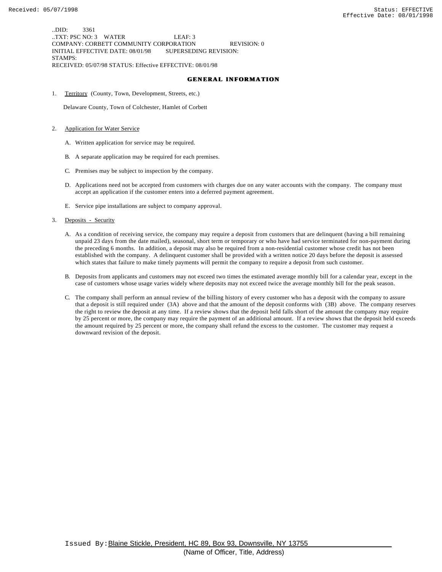..DID: 3361 ..TXT: PSC NO: 3 WATER LEAF: 3 COMPANY: CORBETT COMMUNITY CORPORATION REVISION: 0 INITIAL EFFECTIVE DATE: 08/01/98 SUPERSEDING REVISION: STAMPS: RECEIVED: 05/07/98 STATUS: Effective EFFECTIVE: 08/01/98

#### **GENERAL INFORMATION**

1. Territory (County, Town, Development, Streets, etc.)

Delaware County, Town of Colchester, Hamlet of Corbett

#### 2. Application for Water Service

- A. Written application for service may be required.
- B. A separate application may be required for each premises.
- C. Premises may be subject to inspection by the company.
- D. Applications need not be accepted from customers with charges due on any water accounts with the company. The company must accept an application if the customer enters into a deferred payment agreement.
- E. Service pipe installations are subject to company approval.

#### 3. Deposits - Security

- A. As a condition of receiving service, the company may require a deposit from customers that are delinquent (having a bill remaining unpaid 23 days from the date mailed), seasonal, short term or temporary or who have had service terminated for non-payment during the preceding 6 months. In addition, a deposit may also be required from a non-residential customer whose credit has not been established with the company. A delinquent customer shall be provided with a written notice 20 days before the deposit is assessed which states that failure to make timely payments will permit the company to require a deposit from such customer.
- B. Deposits from applicants and customers may not exceed two times the estimated average monthly bill for a calendar year, except in the case of customers whose usage varies widely where deposits may not exceed twice the average monthly bill for the peak season.
- C. The company shall perform an annual review of the billing history of every customer who has a deposit with the company to assure that a deposit is still required under (3A) above and that the amount of the deposit conforms with (3B) above. The company reserves the right to review the deposit at any time. If a review shows that the deposit held falls short of the amount the company may require by 25 percent or more, the company may require the payment of an additional amount. If a review shows that the deposit held exceeds the amount required by 25 percent or more, the company shall refund the excess to the customer. The customer may request a downward revision of the deposit.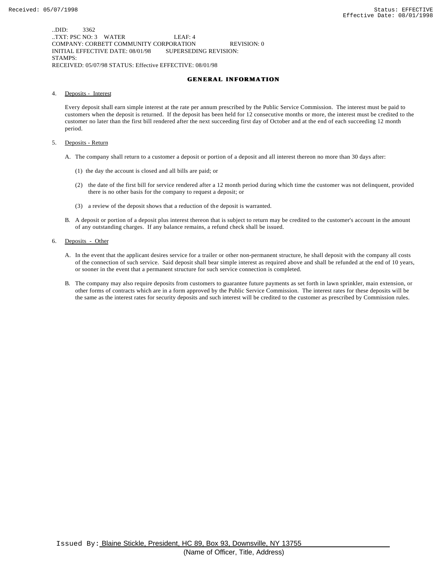..DID: 3362 ..TXT: PSC NO: 3 WATER LEAF: 4 COMPANY: CORBETT COMMUNITY CORPORATION REVISION: 0 INITIAL EFFECTIVE DATE: 08/01/98 SUPERSEDING REVISION: STAMPS: RECEIVED: 05/07/98 STATUS: Effective EFFECTIVE: 08/01/98

#### **GENERAL INFORMATION**

4. Deposits - Interest

Every deposit shall earn simple interest at the rate per annum prescribed by the Public Service Commission. The interest must be paid to customers when the deposit is returned. If the deposit has been held for 12 consecutive months or more, the interest must be credited to the customer no later than the first bill rendered after the next succeeding first day of October and at the end of each succeeding 12 month period.

- 5. Deposits Return
	- A. The company shall return to a customer a deposit or portion of a deposit and all interest thereon no more than 30 days after:
		- (1) the day the account is closed and all bills are paid; or
		- (2) the date of the first bill for service rendered after a 12 month period during which time the customer was not delinquent, provided there is no other basis for the company to request a deposit; or
		- (3) a review of the deposit shows that a reduction of the deposit is warranted.
	- B. A deposit or portion of a deposit plus interest thereon that is subject to return may be credited to the customer's account in the amount of any outstanding charges. If any balance remains, a refund check shall be issued.
- 6. Deposits Other
	- A. In the event that the applicant desires service for a trailer or other non-permanent structure, he shall deposit with the company all costs of the connection of such service. Said deposit shall bear simple interest as required above and shall be refunded at the end of 10 years, or sooner in the event that a permanent structure for such service connection is completed.
	- B. The company may also require deposits from customers to guarantee future payments as set forth in lawn sprinkler, main extension, or other forms of contracts which are in a form approved by the Public Service Commission. The interest rates for these deposits will be the same as the interest rates for security deposits and such interest will be credited to the customer as prescribed by Commission rules.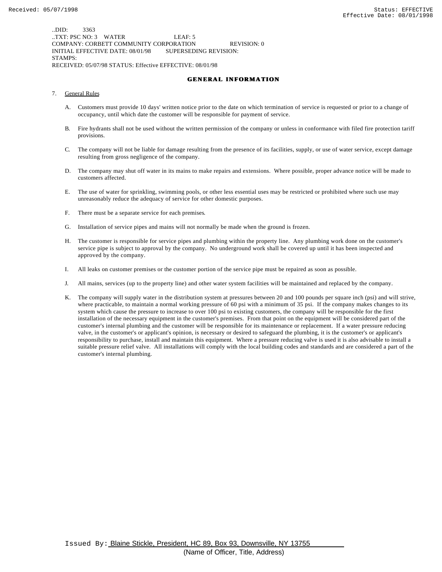..DID: 3363 ..TXT: PSC NO: 3 WATER LEAF: 5 COMPANY: CORBETT COMMUNITY CORPORATION REVISION: 0 INITIAL EFFECTIVE DATE: 08/01/98 SUPERSEDING REVISION: STAMPS: RECEIVED: 05/07/98 STATUS: Effective EFFECTIVE: 08/01/98

#### **GENERAL INFORMATION**

- 7. General Rules
	- A. Customers must provide 10 days' written notice prior to the date on which termination of service is requested or prior to a change of occupancy, until which date the customer will be responsible for payment of service.
	- B. Fire hydrants shall not be used without the written permission of the company or unless in conformance with filed fire protection tariff provisions.
	- C. The company will not be liable for damage resulting from the presence of its facilities, supply, or use of water service, except damage resulting from gross negligence of the company.
	- D. The company may shut off water in its mains to make repairs and extensions. Where possible, proper advance notice will be made to customers affected.
	- E. The use of water for sprinkling, swimming pools, or other less essential uses may be restricted or prohibited where such use may unreasonably reduce the adequacy of service for other domestic purposes.
	- F. There must be a separate service for each premises.
	- G. Installation of service pipes and mains will not normally be made when the ground is frozen.
	- H. The customer is responsible for service pipes and plumbing within the property line. Any plumbing work done on the customer's service pipe is subject to approval by the company. No underground work shall be covered up until it has been inspected and approved by the company.
	- I. All leaks on customer premises or the customer portion of the service pipe must be repaired as soon as possible.
	- J. All mains, services (up to the property line) and other water system facilities will be maintained and replaced by the company.
	- K. The company will supply water in the distribution system at pressures between 20 and 100 pounds per square inch (psi) and will strive, where practicable, to maintain a normal working pressure of 60 psi with a minimum of 35 psi. If the company makes changes to its system which cause the pressure to increase to over 100 psi to existing customers, the company will be responsible for the first installation of the necessary equipment in the customer's premises. From that point on the equipment will be considered part of the customer's internal plumbing and the customer will be responsible for its maintenance or replacement. If a water pressure reducing valve, in the customer's or applicant's opinion, is necessary or desired to safeguard the plumbing, it is the customer's or applicant's responsibility to purchase, install and maintain this equipment. Where a pressure reducing valve is used it is also advisable to install a suitable pressure relief valve. All installations will comply with the local building codes and standards and are considered a part of the customer's internal plumbing.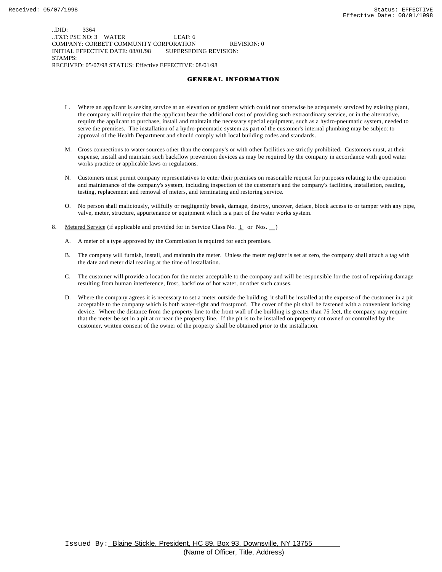..DID: 3364 ..TXT: PSC NO: 3 WATER LEAF: 6 COMPANY: CORBETT COMMUNITY CORPORATION REVISION: 0 INITIAL EFFECTIVE DATE: 08/01/98 SUPERSEDING REVISION: STAMPS: RECEIVED: 05/07/98 STATUS: Effective EFFECTIVE: 08/01/98

#### **GENERAL INFORMATION**

- L. Where an applicant is seeking service at an elevation or gradient which could not otherwise be adequately serviced by existing plant, the company will require that the applicant bear the additional cost of providing such extraordinary service, or in the alternative, require the applicant to purchase, install and maintain the necessary special equipment, such as a hydro-pneumatic system, needed to serve the premises. The installation of a hydro-pneumatic system as part of the customer's internal plumbing may be subject to approval of the Health Department and should comply with local building codes and standards.
- M. Cross connections to water sources other than the company's or with other facilities are strictly prohibited. Customers must, at their expense, install and maintain such backflow prevention devices as may be required by the company in accordance with good water works practice or applicable laws or regulations.
- N. Customers must permit company representatives to enter their premises on reasonable request for purposes relating to the operation and maintenance of the company's system, including inspection of the customer's and the company's facilities, installation, reading, testing, replacement and removal of meters, and terminating and restoring service.
- O. No person shall maliciously, willfully or negligently break, damage, destroy, uncover, deface, block access to or tamper with any pipe, valve, meter, structure, appurtenance or equipment which is a part of the water works system.
- 8. Metered Service (if applicable and provided for in Service Class No. 1 or Nos. )
	- A. A meter of a type approved by the Commission is required for each premises.
	- B. The company will furnish, install, and maintain the meter. Unless the meter register is set at zero, the company shall attach a tag with the date and meter dial reading at the time of installation.
	- C. The customer will provide a location for the meter acceptable to the company and will be responsible for the cost of repairing damage resulting from human interference, frost, backflow of hot water, or other such causes.
	- D. Where the company agrees it is necessary to set a meter outside the building, it shall be installed at the expense of the customer in a pit acceptable to the company which is both water-tight and frostproof. The cover of the pit shall be fastened with a convenient locking device. Where the distance from the property line to the front wall of the building is greater than 75 feet, the company may require that the meter be set in a pit at or near the property line. If the pit is to be installed on property not owned or controlled by the customer, written consent of the owner of the property shall be obtained prior to the installation.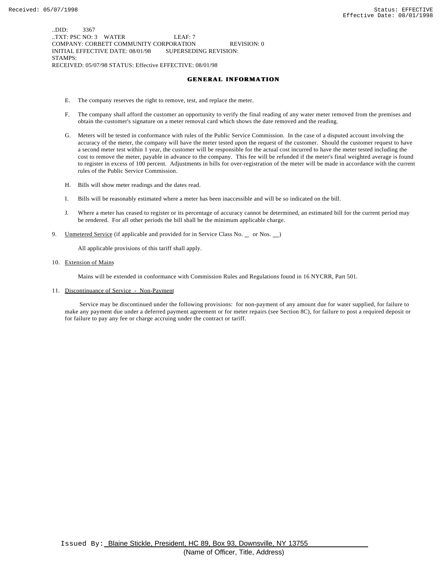..DID: 3367 ..TXT: PSC NO: 3 WATER LEAF: 7 COMPANY: CORBETT COMMUNITY CORPORATION REVISION: 0 INITIAL EFFECTIVE DATE: 08/01/98 SUPERSEDING REVISION: STAMPS: RECEIVED: 05/07/98 STATUS: Effective EFFECTIVE: 08/01/98

#### **GENERAL INFORMATION**

- E. The company reserves the right to remove, test, and replace the meter.
- F. The company shall afford the customer an opportunity to verify the final reading of any water meter removed from the premises and obtain the customer's signature on a meter removal card which shows the date removed and the reading.
- G. Meters will be tested in conformance with rules of the Public Service Commission. In the case of a disputed account involving the accuracy of the meter, the company will have the meter tested upon the request of the customer. Should the customer request to have a second meter test within 1 year, the customer will be responsible for the actual cost incurred to have the meter tested including the cost to remove the meter, payable in advance to the company. This fee will be refunded if the meter's final weighted average is found to register in excess of 100 percent. Adjustments in bills for over-registration of the meter will be made in accordance with the current rules of the Public Service Commission.
- H. Bills will show meter readings and the dates read.
- I. Bills will be reasonably estimated where a meter has been inaccessible and will be so indicated on the bill.
- J. Where a meter has ceased to register or its percentage of accuracy cannot be determined, an estimated bill for the current period may be rendered. For all other periods the bill shall be the minimum applicable charge.
- 9. Unmetered Service (if applicable and provided for in Service Class No. \_ or Nos. \_)

All applicable provisions of this tariff shall apply.

10. Extension of Mains

Mains will be extended in conformance with Commission Rules and Regulations found in 16 NYCRR, Part 501.

11. Discontinuance of Service - Non-Payment

 Service may be discontinued under the following provisions: for non-payment of any amount due for water supplied, for failure to make any payment due under a deferred payment agreement or for meter repairs (see Section 8C), for failure to post a required deposit or for failure to pay any fee or charge accruing under the contract or tariff.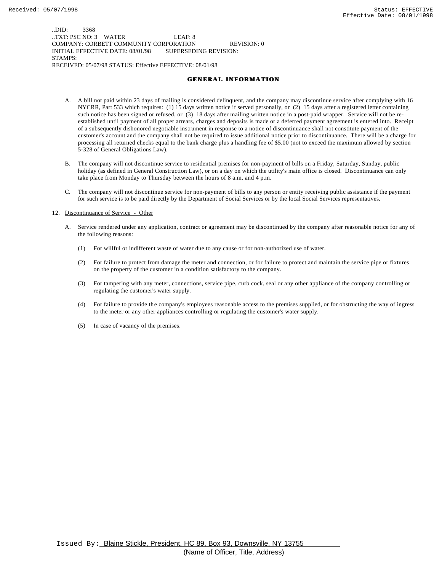..DID: 3368 ..TXT: PSC NO: 3 WATER LEAF: 8 COMPANY: CORBETT COMMUNITY CORPORATION REVISION: 0 INITIAL EFFECTIVE DATE: 08/01/98 SUPERSEDING REVISION: STAMPS: RECEIVED: 05/07/98 STATUS: Effective EFFECTIVE: 08/01/98

#### **GENERAL INFORMATION**

- A. A bill not paid within 23 days of mailing is considered delinquent, and the company may discontinue service after complying with 16 NYCRR, Part 533 which requires: (1) 15 days written notice if served personally, or (2) 15 days after a registered letter containing such notice has been signed or refused, or (3) 18 days after mailing written notice in a post-paid wrapper. Service will not be reestablished until payment of all proper arrears, charges and deposits is made or a deferred payment agreement is entered into. Receipt of a subsequently dishonored negotiable instrument in response to a notice of discontinuance shall not constitute payment of the customer's account and the company shall not be required to issue additional notice prior to discontinuance. There will be a charge for processing all returned checks equal to the bank charge plus a handling fee of \$5.00 (not to exceed the maximum allowed by section 5-328 of General Obligations Law).
- B. The company will not discontinue service to residential premises for non-payment of bills on a Friday, Saturday, Sunday, public holiday (as defined in General Construction Law), or on a day on which the utility's main office is closed. Discontinuance can only take place from Monday to Thursday between the hours of 8 a.m. and 4 p.m.
- C. The company will not discontinue service for non-payment of bills to any person or entity receiving public assistance if the payment for such service is to be paid directly by the Department of Social Services or by the local Social Services representatives.

#### 12. Discontinuance of Service - Other

- A. Service rendered under any application, contract or agreement may be discontinued by the company after reasonable notice for any of the following reasons:
	- (1) For willful or indifferent waste of water due to any cause or for non-authorized use of water.
	- (2) For failure to protect from damage the meter and connection, or for failure to protect and maintain the service pipe or fixtures on the property of the customer in a condition satisfactory to the company.
	- (3) For tampering with any meter, connections, service pipe, curb cock, seal or any other appliance of the company controlling or regulating the customer's water supply.
	- (4) For failure to provide the company's employees reasonable access to the premises supplied, or for obstructing the way of ingress to the meter or any other appliances controlling or regulating the customer's water supply.
	- (5) In case of vacancy of the premises.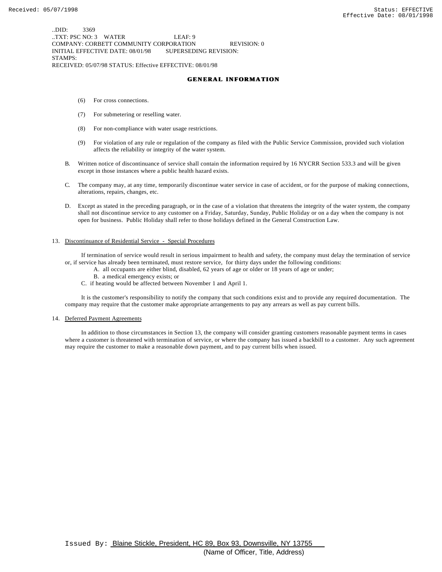..DID: 3369 ..TXT: PSC NO: 3 WATER LEAF: 9 COMPANY: CORBETT COMMUNITY CORPORATION REVISION: 0 INITIAL EFFECTIVE DATE: 08/01/98 SUPERSEDING REVISION: STAMPS: RECEIVED: 05/07/98 STATUS: Effective EFFECTIVE: 08/01/98

#### **GENERAL INFORMATION**

- (6) For cross connections.
- (7) For submetering or reselling water.
- (8) For non-compliance with water usage restrictions.
- (9) For violation of any rule or regulation of the company as filed with the Public Service Commission, provided such violation affects the reliability or integrity of the water system.
- B. Written notice of discontinuance of service shall contain the information required by 16 NYCRR Section 533.3 and will be given except in those instances where a public health hazard exists.
- C. The company may, at any time, temporarily discontinue water service in case of accident, or for the purpose of making connections, alterations, repairs, changes, etc.
- D. Except as stated in the preceding paragraph, or in the case of a violation that threatens the integrity of the water system, the company shall not discontinue service to any customer on a Friday, Saturday, Sunday, Public Holiday or on a day when the company is not open for business. Public Holiday shall refer to those holidays defined in the General Construction Law.

#### 13. Discontinuance of Residential Service - Special Procedures

 If termination of service would result in serious impairment to health and safety, the company must delay the termination of service or, if service has already been terminated, must restore service, for thirty days under the following conditions:

- A. all occupants are either blind, disabled, 62 years of age or older or 18 years of age or under;
	- B. a medical emergency exists; or
- C. if heating would be affected between November 1 and April 1.

 It is the customer's responsibility to notify the company that such conditions exist and to provide any required documentation. The company may require that the customer make appropriate arrangements to pay any arrears as well as pay current bills.

#### 14. Deferred Payment Agreements

 In addition to those circumstances in Section 13, the company will consider granting customers reasonable payment terms in cases where a customer is threatened with termination of service, or where the company has issued a backbill to a customer. Any such agreement may require the customer to make a reasonable down payment, and to pay current bills when issued.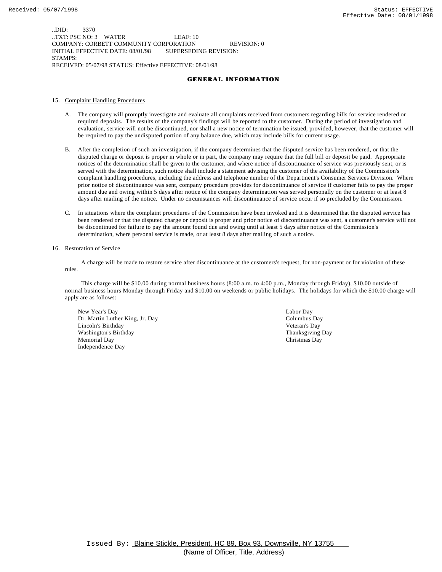..DID: 3370 ..TXT: PSC NO: 3 WATER LEAF: 10 COMPANY: CORBETT COMMUNITY CORPORATION REVISION: 0 INITIAL EFFECTIVE DATE: 08/01/98 SUPERSEDING REVISION: STAMPS: RECEIVED: 05/07/98 STATUS: Effective EFFECTIVE: 08/01/98

#### **GENERAL INFORMATION**

#### 15. Complaint Handling Procedures

- A. The company will promptly investigate and evaluate all complaints received from customers regarding bills for service rendered or required deposits. The results of the company's findings will be reported to the customer. During the period of investigation and evaluation, service will not be discontinued, nor shall a new notice of termination be issued, provided, however, that the customer will be required to pay the undisputed portion of any balance due, which may include bills for current usage.
- B. After the completion of such an investigation, if the company determines that the disputed service has been rendered, or that the disputed charge or deposit is proper in whole or in part, the company may require that the full bill or deposit be paid. Appropriate notices of the determination shall be given to the customer, and where notice of discontinuance of service was previously sent, or is served with the determination, such notice shall include a statement advising the customer of the availability of the Commission's complaint handling procedures, including the address and telephone number of the Department's Consumer Services Division. Where prior notice of discontinuance was sent, company procedure provides for discontinuance of service if customer fails to pay the proper amount due and owing within 5 days after notice of the company determination was served personally on the customer or at least 8 days after mailing of the notice. Under no circumstances will discontinuance of service occur if so precluded by the Commission.
- C. In situations where the complaint procedures of the Commission have been invoked and it is determined that the disputed service has been rendered or that the disputed charge or deposit is proper and prior notice of discontinuance was sent, a customer's service will not be discontinued for failure to pay the amount found due and owing until at least 5 days after notice of the Commission's determination, where personal service is made, or at least 8 days after mailing of such a notice.

#### 16. Restoration of Service

 A charge will be made to restore service after discontinuance at the customers's request, for non-payment or for violation of these rules.

 This charge will be \$10.00 during normal business hours (8:00 a.m. to 4:00 p.m., Monday through Friday), \$10.00 outside of normal business hours Monday through Friday and \$10.00 on weekends or public holidays. The holidays for which the \$10.00 charge will apply are as follows:

New Year's Day Labor Day Dr. Martin Luther King, Jr. Day Columbus Day Lincoln's Birthday Veteran's Day Washington's Birthday **Thanksgiving Day** Thanksgiving Day Memorial Day Christmas Day Independence Day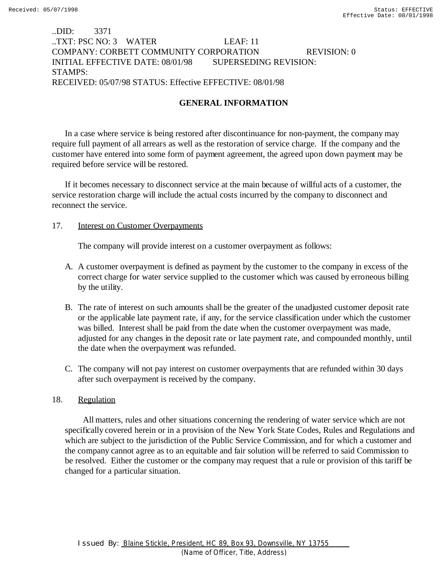# ..DID: 3371 ..TXT: PSC NO: 3 WATER LEAF: 11 COMPANY: CORBETT COMMUNITY CORPORATION REVISION: 0 INITIAL EFFECTIVE DATE: 08/01/98 SUPERSEDING REVISION: STAMPS: RECEIVED: 05/07/98 STATUS: Effective EFFECTIVE: 08/01/98

# **GENERAL INFORMATION**

In a case where service is being restored after discontinuance for non-payment, the company may require full payment of all arrears as well as the restoration of service charge. If the company and the customer have entered into some form of payment agreement, the agreed upon down payment may be required before service will be restored.

If it becomes necessary to disconnect service at the main because of willful acts of a customer, the service restoration charge will include the actual costs incurred by the company to disconnect and reconnect the service.

### 17. **Interest on Customer Overpayments**

The company will provide interest on a customer overpayment as follows:

- A. A customer overpayment is defined as payment by the customer to the company in excess of the correct charge for water service supplied to the customer which was caused by erroneous billing by the utility.
- B. The rate of interest on such amounts shall be the greater of the unadjusted customer deposit rate or the applicable late payment rate, if any, for the service classification under which the customer was billed. Interest shall be paid from the date when the customer overpayment was made, adjusted for any changes in the deposit rate or late payment rate, and compounded monthly, until the date when the overpayment was refunded.
- C. The company will not pay interest on customer overpayments that are refunded within 30 days after such overpayment is received by the company.

### 18. Regulation

 All matters, rules and other situations concerning the rendering of water service which are not specifically covered herein or in a provision of the New York State Codes, Rules and Regulations and which are subject to the jurisdiction of the Public Service Commission, and for which a customer and the company cannot agree as to an equitable and fair solution will be referred to said Commission to be resolved. Either the customer or the company may request that a rule or provision of this tariff be changed for a particular situation.